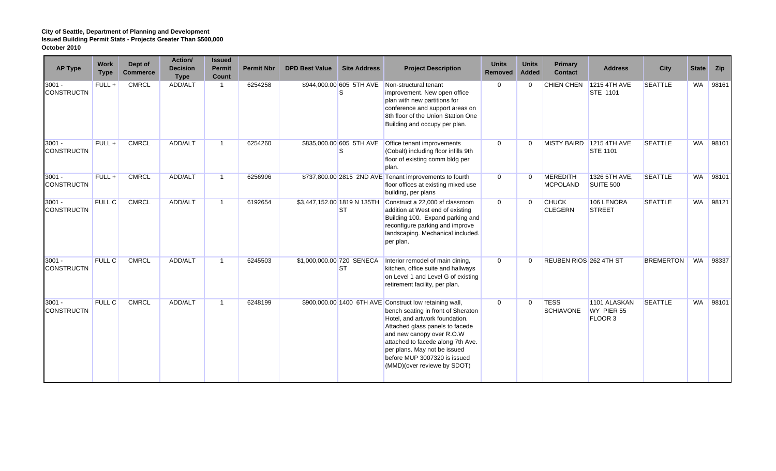| <b>AP Type</b>                | <b>Work</b><br><b>Type</b> | Dept of<br><b>Commerce</b> | Action/<br><b>Decision</b><br><b>Type</b> | <b>Issued</b><br><b>Permit</b><br>Count | <b>Permit Nbr</b> | <b>DPD Best Value</b> | <b>Site Address</b>                    | <b>Project Description</b>                                                                                                                                                                                                                                                                                                          | <b>Units</b><br><b>Removed</b> | <b>Units</b><br><b>Added</b> | <b>Primary</b><br><b>Contact</b>   | <b>Address</b>                              | <b>City</b>      | <b>State</b> | <b>Zip</b> |
|-------------------------------|----------------------------|----------------------------|-------------------------------------------|-----------------------------------------|-------------------|-----------------------|----------------------------------------|-------------------------------------------------------------------------------------------------------------------------------------------------------------------------------------------------------------------------------------------------------------------------------------------------------------------------------------|--------------------------------|------------------------------|------------------------------------|---------------------------------------------|------------------|--------------|------------|
| $3001 -$<br><b>CONSTRUCTN</b> | FULL+                      | <b>CMRCL</b>               | ADD/ALT                                   | $\overline{1}$                          | 6254258           |                       | \$944,000.00 605 5TH AVE<br>S          | Non-structural tenant<br>improvement. New open office<br>plan with new partitions for<br>conference and support areas on<br>8th floor of the Union Station One<br>Building and occupy per plan.                                                                                                                                     | $\mathbf 0$                    | $\mathbf{0}$                 | <b>CHIEN CHEN</b>                  | <b>1215 4TH AVE</b><br><b>STE 1101</b>      | <b>SEATTLE</b>   | <b>WA</b>    | 98161      |
| $3001 -$<br><b>CONSTRUCTN</b> | $FULL +$                   | <b>CMRCL</b>               | ADD/ALT                                   | $\overline{\phantom{a}}$                | 6254260           |                       | S                                      | \$835,000.00 605 5TH AVE Office tenant improvements<br>(Cobalt) including floor infills 9th<br>floor of existing comm bldg per<br>plan.                                                                                                                                                                                             | $\Omega$                       | $\Omega$                     |                                    | MISTY BAIRD 1215 4TH AVE<br><b>STE 1101</b> | <b>SEATTLE</b>   | <b>WA</b>    | 98101      |
| $3001 -$<br><b>CONSTRUCTN</b> | $FULL +$                   | <b>CMRCL</b>               | ADD/ALT                                   | -1                                      | 6256996           |                       |                                        | \$737,800.00 2815 2ND AVE Tenant improvements to fourth<br>floor offices at existing mixed use<br>building, per plans                                                                                                                                                                                                               | $\mathbf 0$                    | $\Omega$                     | <b>MEREDITH</b><br><b>MCPOLAND</b> | 1326 5TH AVE.<br>SUITE 500                  | <b>SEATTLE</b>   | <b>WA</b>    | 98101      |
| $3001 -$<br><b>CONSTRUCTN</b> | <b>FULL C</b>              | <b>CMRCL</b>               | ADD/ALT                                   | $\overline{\mathbf{1}}$                 | 6192654           |                       | <b>ST</b>                              | \$3,447,152.00 1819 N 135TH Construct a 22,000 sf classroom<br>addition at West end of existing<br>Building 100. Expand parking and<br>reconfigure parking and improve<br>landscaping. Mechanical included.<br>per plan.                                                                                                            | $\mathbf 0$                    | $\Omega$                     | <b>CHUCK</b><br><b>CLEGERN</b>     | 106 LENORA<br><b>STREET</b>                 | <b>SEATTLE</b>   | <b>WA</b>    | 98121      |
| $3001 -$<br><b>CONSTRUCTN</b> | <b>FULL C</b>              | <b>CMRCL</b>               | ADD/ALT                                   | $\overline{\mathbf{1}}$                 | 6245503           |                       | \$1,000,000.00 720 SENECA<br><b>ST</b> | Interior remodel of main dining,<br>kitchen, office suite and hallways<br>on Level 1 and Level G of existing<br>retirement facility, per plan.                                                                                                                                                                                      | $\Omega$                       |                              | REUBEN RIOS 262 4TH ST             |                                             | <b>BREMERTON</b> | WA           | 98337      |
| $3001 -$<br><b>CONSTRUCTN</b> | <b>FULL C</b>              | <b>CMRCL</b>               | ADD/ALT                                   | $\overline{1}$                          | 6248199           |                       |                                        | \$900,000.00 1400 6TH AVE Construct low retaining wall,<br>bench seating in front of Sheraton<br>Hotel, and artwork foundation.<br>Attached glass panels to facede<br>and new canopy over R.O.W<br>attached to facede along 7th Ave.<br>per plans. May not be issued<br>before MUP 3007320 is issued<br>(MMD)(over reviewe by SDOT) | $\mathbf 0$                    | $\Omega$                     | <b>TESS</b><br><b>SCHIAVONE</b>    | 1101 ALASKAN<br>WY PIER 55<br>FLOOR 3       | <b>SEATTLE</b>   | <b>WA</b>    | 98101      |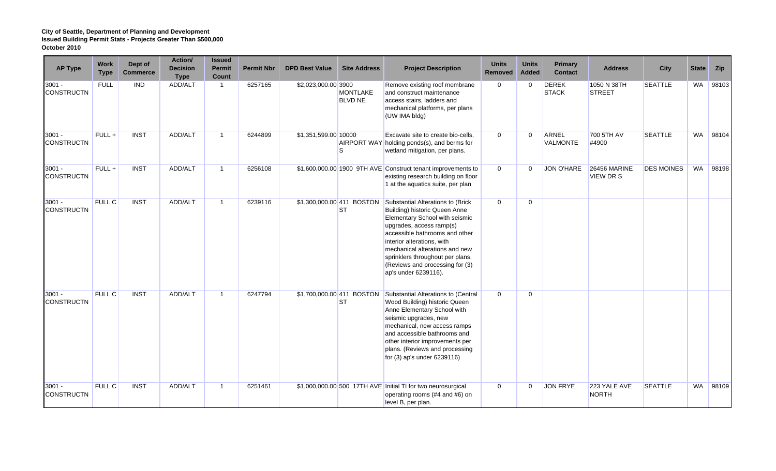| <b>AP Type</b>                | <b>Work</b><br><b>Type</b> | Dept of<br><b>Commerce</b> | Action/<br><b>Decision</b><br><b>Type</b> | <b>Issued</b><br><b>Permit</b><br>Count | <b>Permit Nbr</b> | <b>DPD Best Value</b> | <b>Site Address</b>               | <b>Project Description</b>                                                                                                                                                                                                                                                                                                                                  | <b>Units</b><br><b>Removed</b> | <b>Units</b><br><b>Added</b> | Primary<br><b>Contact</b>       | <b>Address</b>                         | City              | <b>State</b> | Zip   |
|-------------------------------|----------------------------|----------------------------|-------------------------------------------|-----------------------------------------|-------------------|-----------------------|-----------------------------------|-------------------------------------------------------------------------------------------------------------------------------------------------------------------------------------------------------------------------------------------------------------------------------------------------------------------------------------------------------------|--------------------------------|------------------------------|---------------------------------|----------------------------------------|-------------------|--------------|-------|
| $3001 -$<br><b>CONSTRUCTN</b> | <b>FULL</b>                | <b>IND</b>                 | ADD/ALT                                   | $\overline{1}$                          | 6257165           | \$2,023,000.00 3900   | <b>MONTLAKE</b><br><b>BLVD NE</b> | Remove existing roof membrane<br>and construct maintenance<br>access stairs, ladders and<br>mechanical platforms, per plans<br>(UW IMA bldg)                                                                                                                                                                                                                | 0                              | $\Omega$                     | <b>DEREK</b><br><b>STACK</b>    | 1050 N 38TH<br><b>STREET</b>           | <b>SEATTLE</b>    | WA           | 98103 |
| $3001 -$<br><b>CONSTRUCTN</b> | $FULL +$                   | <b>INST</b>                | ADD/ALT                                   | $\mathbf{1}$                            | 6244899           | \$1,351,599.00 10000  | <sub>S</sub>                      | Excavate site to create bio-cells,<br>AIRPORT WAY holding ponds(s), and berms for<br>wetland mitigation, per plans.                                                                                                                                                                                                                                         | $\mathbf 0$                    | $\Omega$                     | <b>ARNEL</b><br><b>VALMONTE</b> | 700 5TH AV<br>#4900                    | <b>SEATTLE</b>    | <b>WA</b>    | 98104 |
| $3001 -$<br><b>CONSTRUCTN</b> | $FULL +$                   | <b>INST</b>                | ADD/ALT                                   | $\overline{1}$                          | 6256108           |                       |                                   | \$1,600,000.00 1900 9TH AVE Construct tenant improvements to<br>existing research building on floor<br>1 at the aquatics suite, per plan                                                                                                                                                                                                                    | $\mathbf 0$                    | $\Omega$                     | JON O'HARE                      | <b>26456 MARINE</b><br><b>VIEW DRS</b> | <b>DES MOINES</b> | WA           | 98198 |
| $3001 -$<br><b>CONSTRUCTN</b> | <b>FULL C</b>              | <b>INST</b>                | ADD/ALT                                   | $\overline{1}$                          | 6239116           |                       | <b>ST</b>                         | \$1,300,000.00 411 BOSTON Substantial Alterations to (Brick<br>Building) historic Queen Anne<br>Elementary School with seismic<br>upgrades, access ramp(s)<br>accessible bathrooms and other<br>interior alterations, with<br>mechanical alterations and new<br>sprinklers throughout per plans.<br>(Reviews and processing for (3)<br>ap's under 6239116). | $\Omega$                       | $\Omega$                     |                                 |                                        |                   |              |       |
| $3001 -$<br><b>CONSTRUCTN</b> | <b>FULL C</b>              | <b>INST</b>                | ADD/ALT                                   | $\mathbf{1}$                            | 6247794           |                       | <b>ST</b>                         | \$1,700,000.00 411 BOSTON Substantial Alterations to (Central<br>Wood Building) historic Queen<br>Anne Elementary School with<br>seismic upgrades, new<br>mechanical, new access ramps<br>and accessible bathrooms and<br>other interior improvements per<br>plans. (Reviews and processing<br>for (3) ap's under 6239116)                                  | $\mathbf 0$                    | $\Omega$                     |                                 |                                        |                   |              |       |
| $3001 -$<br><b>CONSTRUCTN</b> | <b>FULL C</b>              | <b>INST</b>                | ADD/ALT                                   | $\mathbf{1}$                            | 6251461           |                       |                                   | \$1,000,000.00 500 17TH AVE Initial TI for two neurosurgical<br>operating rooms (#4 and #6) on<br>level B, per plan.                                                                                                                                                                                                                                        | $\mathbf 0$                    | $\Omega$                     | JON FRYE                        | 223 YALE AVE<br><b>NORTH</b>           | <b>SEATTLE</b>    | <b>WA</b>    | 98109 |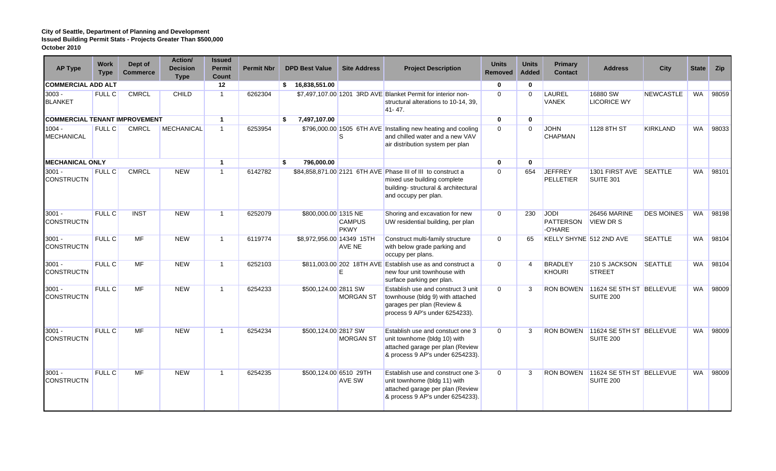| <b>AP Type</b>                       | <b>Work</b><br><b>Type</b> | Dept of<br><b>Commerce</b> | Action/<br><b>Decision</b><br><b>Type</b> | <b>Issued</b><br><b>Permit</b><br><b>Count</b> | <b>Permit Nbr</b>  | <b>DPD Best Value</b>     | <b>Site Address</b>                     | <b>Project Description</b>                                                                                                                                  | <b>Units</b><br><b>Removed</b> | <b>Units</b><br><b>Added</b> | <b>Primary</b><br><b>Contact</b>           | <b>Address</b>                                  | <b>City</b>       | <b>State</b> | Zip   |
|--------------------------------------|----------------------------|----------------------------|-------------------------------------------|------------------------------------------------|--------------------|---------------------------|-----------------------------------------|-------------------------------------------------------------------------------------------------------------------------------------------------------------|--------------------------------|------------------------------|--------------------------------------------|-------------------------------------------------|-------------------|--------------|-------|
| <b>COMMERCIAL ADD ALT</b>            |                            |                            | 12                                        |                                                | \$ 16,838,551.00   |                           |                                         | 0                                                                                                                                                           | $\mathbf 0$                    |                              |                                            |                                                 |                   |              |       |
| $3003 -$<br><b>BLANKET</b>           | <b>FULL C</b>              | <b>CMRCL</b>               | <b>CHILD</b>                              | $\overline{1}$                                 | 6262304            |                           |                                         | \$7,497,107.00 1201 3RD AVE Blanket Permit for interior non-<br>structural alterations to 10-14, 39,<br>$41 - 47$ .                                         | $\Omega$                       | $\Omega$                     | LAUREL<br><b>VANEK</b>                     | 16880 SW<br><b>LICORICE WY</b>                  | <b>NEWCASTLE</b>  | <b>WA</b>    | 98059 |
| <b>COMMERCIAL TENANT IMPROVEMENT</b> |                            |                            | $\overline{1}$                            |                                                | \$<br>7,497,107.00 |                           |                                         | $\bf{0}$                                                                                                                                                    | $\mathbf{0}$                   |                              |                                            |                                                 |                   |              |       |
| $1004 -$<br><b>MECHANICAL</b>        | <b>FULL C</b>              | <b>CMRCL</b>               | <b>MECHANICAL</b>                         | $\mathbf{1}$                                   | 6253954            |                           | <sub>S</sub>                            | \$796,000.00 1505 6TH AVE Installing new heating and cooling<br>and chilled water and a new VAV<br>air distribution system per plan                         | $\Omega$                       | $\Omega$                     | <b>JOHN</b><br><b>CHAPMAN</b>              | 1128 8TH ST                                     | <b>KIRKLAND</b>   | <b>WA</b>    | 98033 |
| <b>MECHANICAL ONLY</b>               |                            |                            |                                           | $\overline{\mathbf{1}}$                        |                    | \$<br>796.000.00          |                                         |                                                                                                                                                             | $\bf{0}$                       | $\mathbf{0}$                 |                                            |                                                 |                   |              |       |
| $3001 -$<br><b>CONSTRUCTN</b>        | <b>FULL C</b>              | <b>CMRCL</b>               | <b>NEW</b>                                | $\overline{1}$                                 | 6142782            |                           |                                         | \$84,858,871.00 2121 6TH AVE Phase III of III to construct a<br>mixed use building complete<br>building- structural & architectural<br>and occupy per plan. | $\Omega$                       | 654                          | <b>JEFFREY</b><br><b>PELLETIER</b>         | 1301 FIRST AVE SEATTLE<br>SUITE 301             |                   | <b>WA</b>    | 98101 |
| $3001 -$<br><b>CONSTRUCTN</b>        | <b>FULL C</b>              | <b>INST</b>                | <b>NEW</b>                                | $\mathbf{1}$                                   | 6252079            | \$800,000.00 1315 NE      | <b>CAMPUS</b><br>PKWY                   | Shoring and excavation for new<br>UW residential building, per plan                                                                                         | $\mathbf 0$                    | 230                          | <b>JODI</b><br><b>PATTERSON</b><br>-O'HARE | <b>26456 MARINE</b><br><b>VIEW DRS</b>          | <b>DES MOINES</b> | WA           | 98198 |
| $3001 -$<br><b>CONSTRUCTN</b>        | <b>FULL C</b>              | <b>MF</b>                  | <b>NEW</b>                                | $\mathbf{1}$                                   | 6119774            | \$8,972,956.00 14349 15TH | AVE NE                                  | Construct multi-family structure<br>with below grade parking and<br>occupy per plans.                                                                       | $\Omega$                       | 65                           | KELLY SHYNE 512 2ND AVE                    |                                                 | <b>SEATTLE</b>    | <b>WA</b>    | 98104 |
| $3001 -$<br><b>CONSTRUCTN</b>        | <b>FULL C</b>              | <b>MF</b>                  | <b>NEW</b>                                | $\overline{1}$                                 | 6252103            |                           | E                                       | \$811,003.00 202 18TH AVE Establish use as and construct a<br>new four unit townhouse with<br>surface parking per plan.                                     | $\Omega$                       |                              | <b>BRADLEY</b><br><b>KHOURI</b>            | 210 S JACKSON SEATTLE<br><b>STREET</b>          |                   | <b>WA</b>    | 98104 |
| $3001 -$<br><b>CONSTRUCTN</b>        | <b>FULL C</b>              | <b>MF</b>                  | <b>NEW</b>                                | $\overline{1}$                                 | 6254233            | \$500,124.00 2811 SW      | <b>MORGAN ST</b>                        | Establish use and construct 3 unit<br>townhouse (bldg 9) with attached<br>garages per plan (Review &<br>process 9 AP's under 6254233).                      | $\Omega$                       |                              |                                            | RON BOWEN 11624 SE 5TH ST BELLEVUE<br>SUITE 200 |                   | <b>WA</b>    | 98009 |
| $3001 -$<br><b>CONSTRUCTN</b>        | <b>FULL C</b>              | <b>MF</b>                  | <b>NEW</b>                                | $\mathbf{1}$                                   | 6254234            | \$500,124.00 2817 SW      | <b>MORGAN ST</b>                        | Establish use and constuct one 3<br>unit townhome (bldg 10) with<br>attached garage per plan (Review<br>& process 9 AP's under 6254233).                    | $\Omega$                       | 3                            | <b>RON BOWEN</b>                           | 11624 SE 5TH ST BELLEVUE<br>SUITE 200           |                   | <b>WA</b>    | 98009 |
| $3001 -$<br><b>CONSTRUCTN</b>        | FULL C                     | <b>MF</b>                  | <b>NEW</b>                                | $\overline{1}$                                 | 6254235            |                           | \$500,124.00 6510 29TH<br><b>AVE SW</b> | Establish use and construct one 3-<br>unit townhome (bldg 11) with<br>attached garage per plan (Review<br>& process 9 AP's under 6254233).                  | $\Omega$                       | 3                            |                                            | RON BOWEN 11624 SE 5TH ST BELLEVUE<br>SUITE 200 |                   | <b>WA</b>    | 98009 |